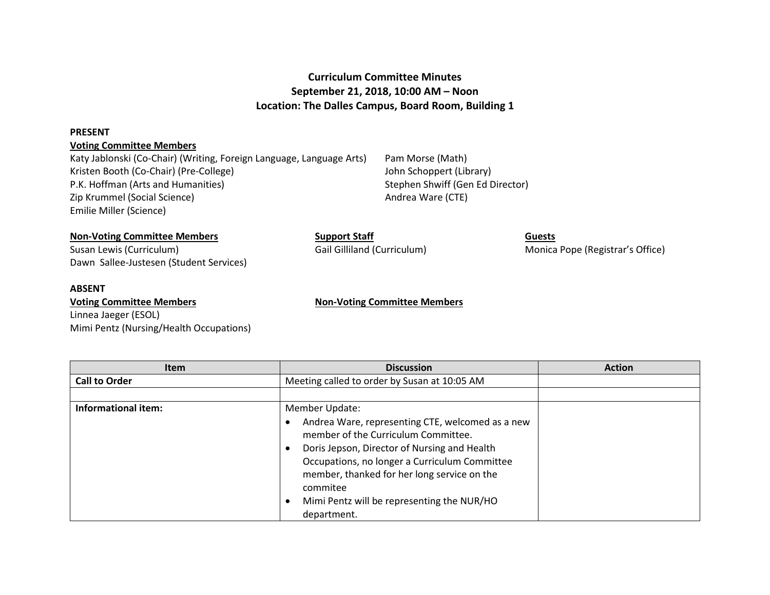# **Curriculum Committee Minutes September 21, 2018, 10:00 AM – Noon Location: The Dalles Campus, Board Room, Building 1**

#### **PRESENT**

## **Voting Committee Members**

Katy Jablonski (Co-Chair) (Writing, Foreign Language, Language Arts) Pam Morse (Math) Kristen Booth (Co-Chair) (Pre-College) Sand Correspondent (Library John Schoppert (Library) P.K. Hoffman (Arts and Humanities) Stephen Shwiff (Gen Ed Director) Zip Krummel (Social Science) and a series of the Andrea Ware (CTE) Emilie Miller (Science)

## **Non-Voting Committee Members Support Staff Guests**

Susan Lewis (Curriculum) Gail Gilliland (Curriculum) Monica Pope (Registrar's Office) Dawn Sallee-Justesen (Student Services)

#### **ABSENT**

**Voting Committee Members Non-Voting Committee Members**

Linnea Jaeger (ESOL) Mimi Pentz (Nursing/Health Occupations)

| <b>Item</b>                | <b>Discussion</b>                                                                                                                                                                                                                                                                                                   | <b>Action</b> |
|----------------------------|---------------------------------------------------------------------------------------------------------------------------------------------------------------------------------------------------------------------------------------------------------------------------------------------------------------------|---------------|
| <b>Call to Order</b>       | Meeting called to order by Susan at 10:05 AM                                                                                                                                                                                                                                                                        |               |
|                            |                                                                                                                                                                                                                                                                                                                     |               |
| <b>Informational item:</b> | Member Update:<br>Andrea Ware, representing CTE, welcomed as a new<br>member of the Curriculum Committee.<br>Doris Jepson, Director of Nursing and Health<br>Occupations, no longer a Curriculum Committee<br>member, thanked for her long service on the<br>commitee<br>Mimi Pentz will be representing the NUR/HO |               |
|                            | department.                                                                                                                                                                                                                                                                                                         |               |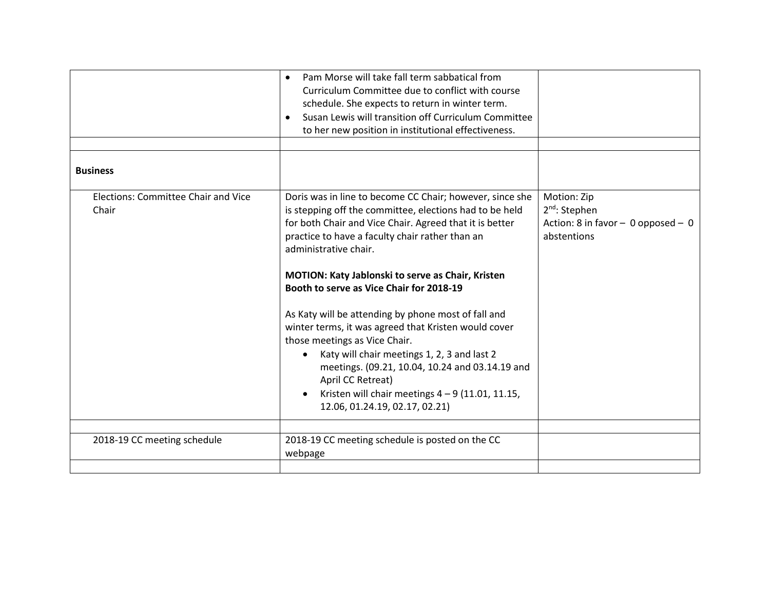|                                              | Pam Morse will take fall term sabbatical from<br>$\bullet$<br>Curriculum Committee due to conflict with course<br>schedule. She expects to return in winter term.<br>Susan Lewis will transition off Curriculum Committee<br>to her new position in institutional effectiveness.                                                                                                                                                                                                                                                                                                                                                                                                                                           |                                                                                            |
|----------------------------------------------|----------------------------------------------------------------------------------------------------------------------------------------------------------------------------------------------------------------------------------------------------------------------------------------------------------------------------------------------------------------------------------------------------------------------------------------------------------------------------------------------------------------------------------------------------------------------------------------------------------------------------------------------------------------------------------------------------------------------------|--------------------------------------------------------------------------------------------|
| <b>Business</b>                              |                                                                                                                                                                                                                                                                                                                                                                                                                                                                                                                                                                                                                                                                                                                            |                                                                                            |
| Elections: Committee Chair and Vice<br>Chair | Doris was in line to become CC Chair; however, since she<br>is stepping off the committee, elections had to be held<br>for both Chair and Vice Chair. Agreed that it is better<br>practice to have a faculty chair rather than an<br>administrative chair.<br>MOTION: Katy Jablonski to serve as Chair, Kristen<br>Booth to serve as Vice Chair for 2018-19<br>As Katy will be attending by phone most of fall and<br>winter terms, it was agreed that Kristen would cover<br>those meetings as Vice Chair.<br>Katy will chair meetings 1, 2, 3 and last 2<br>meetings. (09.21, 10.04, 10.24 and 03.14.19 and<br>April CC Retreat)<br>Kristen will chair meetings $4 - 9$ (11.01, 11.15,<br>12.06, 01.24.19, 02.17, 02.21) | Motion: Zip<br>$2^{nd}$ : Stephen<br>Action: 8 in favor $-$ 0 opposed $-$ 0<br>abstentions |
| 2018-19 CC meeting schedule                  | 2018-19 CC meeting schedule is posted on the CC                                                                                                                                                                                                                                                                                                                                                                                                                                                                                                                                                                                                                                                                            |                                                                                            |
|                                              | webpage                                                                                                                                                                                                                                                                                                                                                                                                                                                                                                                                                                                                                                                                                                                    |                                                                                            |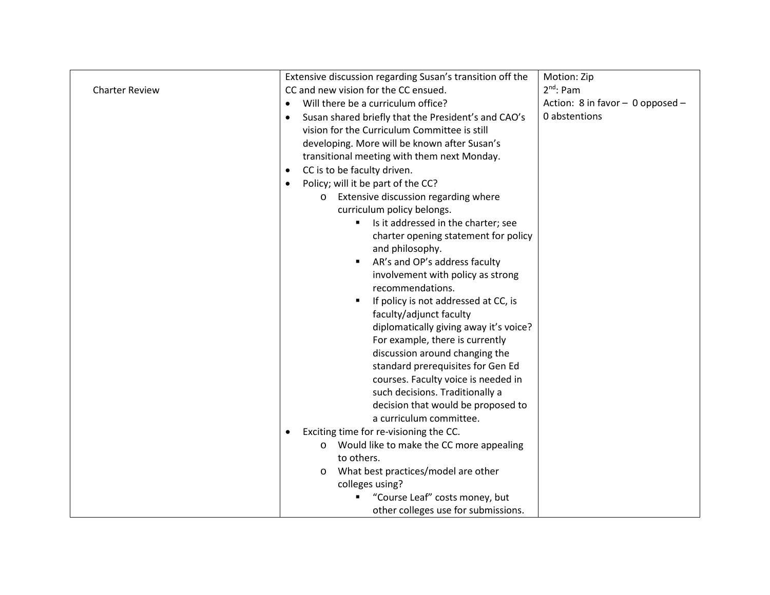|                       | Extensive discussion regarding Susan's transition off the        | Motion: Zip                      |
|-----------------------|------------------------------------------------------------------|----------------------------------|
| <b>Charter Review</b> | CC and new vision for the CC ensued.                             | $2^{nd}$ : Pam                   |
|                       | Will there be a curriculum office?<br>$\bullet$                  | Action: 8 in favor - 0 opposed - |
|                       | Susan shared briefly that the President's and CAO's<br>$\bullet$ | 0 abstentions                    |
|                       | vision for the Curriculum Committee is still                     |                                  |
|                       | developing. More will be known after Susan's                     |                                  |
|                       | transitional meeting with them next Monday.                      |                                  |
|                       | CC is to be faculty driven.<br>$\bullet$                         |                                  |
|                       | Policy; will it be part of the CC?<br>$\bullet$                  |                                  |
|                       | Extensive discussion regarding where<br>$\circ$                  |                                  |
|                       | curriculum policy belongs.                                       |                                  |
|                       | Is it addressed in the charter; see<br>٠                         |                                  |
|                       | charter opening statement for policy                             |                                  |
|                       | and philosophy.                                                  |                                  |
|                       | AR's and OP's address faculty                                    |                                  |
|                       | involvement with policy as strong                                |                                  |
|                       | recommendations.                                                 |                                  |
|                       | If policy is not addressed at CC, is                             |                                  |
|                       | faculty/adjunct faculty                                          |                                  |
|                       | diplomatically giving away it's voice?                           |                                  |
|                       | For example, there is currently                                  |                                  |
|                       | discussion around changing the                                   |                                  |
|                       | standard prerequisites for Gen Ed                                |                                  |
|                       | courses. Faculty voice is needed in                              |                                  |
|                       | such decisions. Traditionally a                                  |                                  |
|                       | decision that would be proposed to                               |                                  |
|                       | a curriculum committee.                                          |                                  |
|                       | Exciting time for re-visioning the CC.<br>$\bullet$              |                                  |
|                       | o Would like to make the CC more appealing                       |                                  |
|                       | to others.                                                       |                                  |
|                       | What best practices/model are other<br>$\circ$                   |                                  |
|                       | colleges using?                                                  |                                  |
|                       | "Course Leaf" costs money, but                                   |                                  |
|                       | other colleges use for submissions.                              |                                  |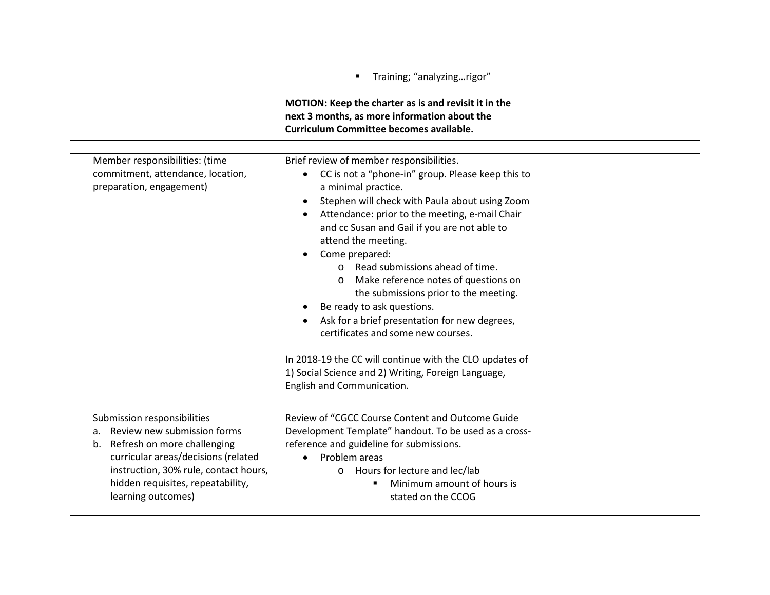|                                                                                                                                                                                                                                            | Training; "analyzingrigor"<br>MOTION: Keep the charter as is and revisit it in the<br>next 3 months, as more information about the<br><b>Curriculum Committee becomes available.</b>                                                                                                                                                                                                                                                                                                                                                                                                                                                                                                                                    |  |
|--------------------------------------------------------------------------------------------------------------------------------------------------------------------------------------------------------------------------------------------|-------------------------------------------------------------------------------------------------------------------------------------------------------------------------------------------------------------------------------------------------------------------------------------------------------------------------------------------------------------------------------------------------------------------------------------------------------------------------------------------------------------------------------------------------------------------------------------------------------------------------------------------------------------------------------------------------------------------------|--|
| Member responsibilities: (time<br>commitment, attendance, location,<br>preparation, engagement)                                                                                                                                            | Brief review of member responsibilities.<br>CC is not a "phone-in" group. Please keep this to<br>a minimal practice.<br>Stephen will check with Paula about using Zoom<br>Attendance: prior to the meeting, e-mail Chair<br>and cc Susan and Gail if you are not able to<br>attend the meeting.<br>Come prepared:<br>o Read submissions ahead of time.<br>Make reference notes of questions on<br>$\circ$<br>the submissions prior to the meeting.<br>Be ready to ask questions.<br>Ask for a brief presentation for new degrees,<br>certificates and some new courses.<br>In 2018-19 the CC will continue with the CLO updates of<br>1) Social Science and 2) Writing, Foreign Language,<br>English and Communication. |  |
| Submission responsibilities<br>a. Review new submission forms<br>b. Refresh on more challenging<br>curricular areas/decisions (related<br>instruction, 30% rule, contact hours,<br>hidden requisites, repeatability,<br>learning outcomes) | Review of "CGCC Course Content and Outcome Guide<br>Development Template" handout. To be used as a cross-<br>reference and guideline for submissions.<br>Problem areas<br>o Hours for lecture and lec/lab<br>Minimum amount of hours is<br>stated on the CCOG                                                                                                                                                                                                                                                                                                                                                                                                                                                           |  |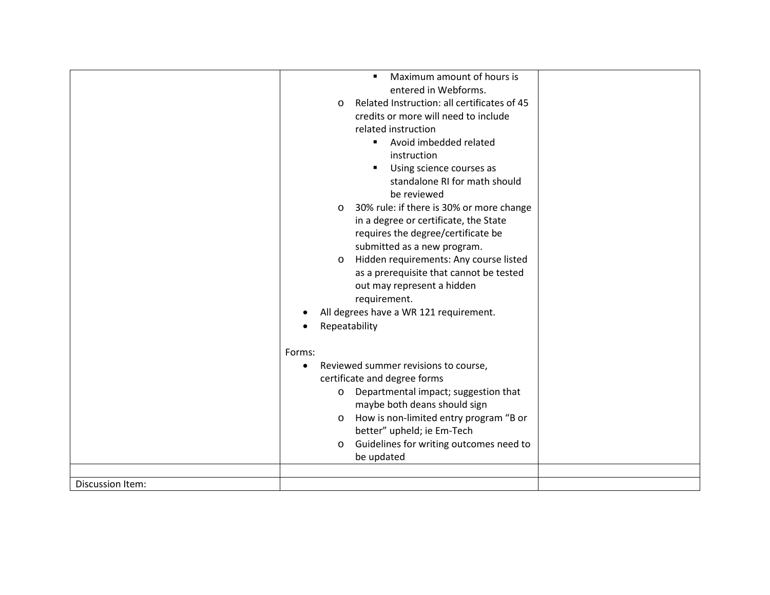|                  | Maximum amount of hours is<br>$\blacksquare$            |  |
|------------------|---------------------------------------------------------|--|
|                  | entered in Webforms.                                    |  |
|                  | Related Instruction: all certificates of 45<br>$\Omega$ |  |
|                  | credits or more will need to include                    |  |
|                  | related instruction                                     |  |
|                  | Avoid imbedded related<br>$\blacksquare$                |  |
|                  | instruction                                             |  |
|                  | Using science courses as                                |  |
|                  | standalone RI for math should                           |  |
|                  | be reviewed                                             |  |
|                  | 30% rule: if there is 30% or more change<br>$\circ$     |  |
|                  | in a degree or certificate, the State                   |  |
|                  | requires the degree/certificate be                      |  |
|                  | submitted as a new program.                             |  |
|                  | Hidden requirements: Any course listed<br>$\circ$       |  |
|                  | as a prerequisite that cannot be tested                 |  |
|                  | out may represent a hidden                              |  |
|                  | requirement.                                            |  |
|                  | All degrees have a WR 121 requirement.                  |  |
|                  | Repeatability                                           |  |
|                  |                                                         |  |
|                  | Forms:                                                  |  |
|                  | Reviewed summer revisions to course,<br>$\bullet$       |  |
|                  | certificate and degree forms                            |  |
|                  | Departmental impact; suggestion that<br>$\circ$         |  |
|                  | maybe both deans should sign                            |  |
|                  | How is non-limited entry program "B or<br>$\circ$       |  |
|                  | better" upheld; ie Em-Tech                              |  |
|                  | Guidelines for writing outcomes need to<br>$\circ$      |  |
|                  | be updated                                              |  |
|                  |                                                         |  |
| Discussion Item: |                                                         |  |